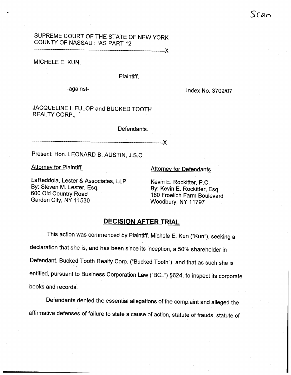# SUPREME COURT OF THE STATE OF NEW YORK COUNTY OF NASSAU: IAS PART 12

MICHELE E. KUN

## Plaintiff

-against- Index No. 3709/07

JACQUELINE I. FULOP and BUCKED TOOTH REALTY CORP.,

Defendants.

Present: Hon. LEONARD B. AUSTIN, J.S.C.

Attorney for Plaintiff Attorney for Defendants

--X

LaReddola, Lester & Associates, LLP By: Steven M. Lester, Esq. 600 Old Country Road Garden City, NY 11530

Kevin E. Rockitter, P. By: Kevin E. Rockitter, Esq. 180 Froelich Farm Boulevard Woodbury, NY 11797

# DECISION AFTER TRIAL

This action was commenced by Plaintiff, Michele E. Kun ("Kun"), seeking a declaration that she is, and has been since its inception, a 50% shareholder in Defendant, Bucked Tooth Realty Corp. ("Bucked Tooth"), and that as such she is entitled, pursuant to Business Corporation Law ("BCL") §624, to inspect its corporate books and records.

Defendants denied the essential allegations of the complaint and alleged the affirmative defenses of failure to state a cause of action, statute of frauds, statute of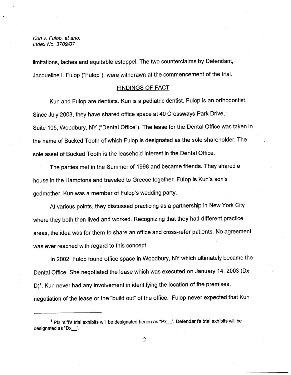limitations, laches and equitable estoppel. The two counterclaims by Defendant, Jacqueline I. Fulop ("Fulop"), were withdrawn at the commencement of the trial.

## FINDINGS OF FACT

Kun and Fulop are dentists. Kun is a pediatric dentist. Fulop is an orthodontist. Since July 2003, they have shared office space at 40 Crossways Park Drive, Suite 105, Woodbury, NY ("Dental Office"). The lease for the Dental Office was taken in the name of Bucked Tooth of which Fulop is designated as the sole shareholder. The sole asset of Bucked Tooth is the leasehold interest in the Dental Office.

The parties met in the Summer of 1998 and became friends. They shared a house in the Hamptons and traveled to Greece together. Fulop is Kun's son's godmother. Kun was a member of Fulop's wedding party.

At various points, they discussed practicing as a partnership in New York City where they both then lived and worked. Recognizing that they had different practice areas, the idea was for them to share an office and cross-refer patients. No agreement was ever reached with regard to this concept.

In 2002, Fulop found office space in Woodbury, NY which ultimately became the Dental Office. She negotiated the lease which was executed on January 14, 2003 (Dx  $D$ <sup>1</sup>. Kun never had any involvement in identifying the location of the premises, negotiation of the lease or the "build out" of the office. Fulop never expected that Kun

 $<sup>1</sup>$  Plaintiff's trial exhibits will be designated herein as "Px<sub>\_\_</sub>". Defendant's trial exhibits will be</sup> designated as "Dx\_".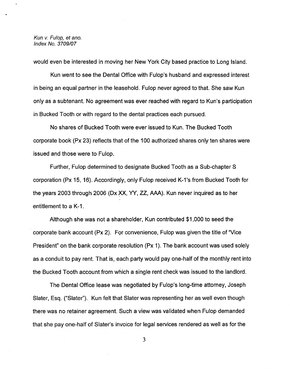would even be interested in moving her New York City based practice to Long Island.

Kun went to see the Dental Office with Fulop's husband and expressed interest in being an equal partner in the leasehold. Fulop never agreed to that. She saw Kun only as a subtenant. No agreement was ever reached with regard to Kun's participation in Bucked Tooth or with regard to the dental practices each pursued.

No shares of Bucked Tooth were ever issued to Kun. The Bucked Tooth corporate book (Px 23) reflects that of the 100 authorjzed shares only ten shares were issued and those were to Fulop.

Further, Fulop determined to designate Bucked Tooth as a Sub-chapter S corporation (Px 15, 16). Accordingly, only Fulop received K-1's from Bucked Tooth for the years 2003 through 2006 (Dx XX, YY, ZZ, AAA). Kun never inquired as to her entitlement to a K-1.

Although she was not a shareholder, Kun contributed \$1 000 to seed the corporate bank account  $(Px 2)$ . For convenience, Fulop was given the title of "Vice President" on the bank corporate resolution (Px 1). The bank account was used solely as a conduit to pay rent. That is, each party would pay one-half of the monthly rent into the Bucked Tooth account from which a single rent check was issued to the landlord.

The Dental Office lease was negotiated by Fulop's long-time attorney, Joseph Slater, Esq. ("Slater"). Kun felt that Slater was representing her as well even though there was no retainer agreement. Such a view was validated when Fulop demanded that she pay one-half of Slater's invoice for legal services rendered as well as for the

3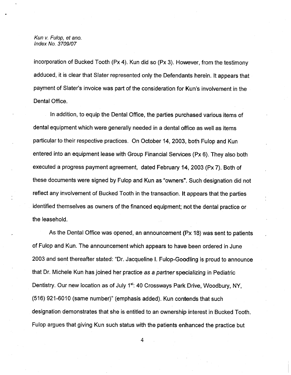incorporation of Bucked Tooth (Px 4). Kun did so (Px 3). However, from the testimony adduced, it is clear that Slater represented only the Defendants herein. It appears that payment of Slater's invoice was part of the consideration for Kun's involvement in the Dental Office.

In addition, to equip the Dental Office, the parties purchased various items of dental equipment which were generally needed in a dental office as well as items particular to their respective practices. On October 14, 2003, both Fulop and Kun entered into an equipment lease with Group Financial Services (Px 6). They also both executed a progress payment agreement, dated February 14 2003 (Px 7). Both of these documents were signed by Fulop and Kun as "owners". Such designation did not reflect any involvement of Bucked Tooth in the transaction. It appears that the parties identified themselves as owners of the financed equipment; not the dental practice or the leasehold.

As the Dental Office was opened, an announcement (Px 18) was sent to patients of Fulop and Kun. The announcement which appears to have been ordered in June 2003 and sent thereafter stated: "Dr. Jacqueline I. Fulop-Goodling is proud to announce that Dr. Michele Kun has joined her practice as a partner specializing in Pediatric Dentistry. Our new location as of July 1<sup>st</sup>: 40 Crossways Park Drive, Woodbury, NY. (516) 921-6010 (same number)" (emphasis added). Kun contends that such designation demonstrates that she is entitled to an ownership interest in Bucked Tooth. Fulop argues that giving Kun such status with the patients enhanced the practice but

 $\overline{4}$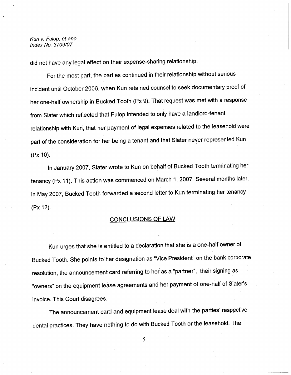did not have any legal effect on their expense-sharing relationship.

For the most part, the parties continued in their relationship without serious incident until October 2006, when Kun retained counsel to seek documentary proof of her one-half ownership in Bucked Tooth (Px 9). That request was met with a response from Slater which reflected that Fulop intended to only have a landlord-tenant relationship with Kun, that her payment of legal expenses related to the leasehold were part of the consideration for her being a tenant and that Slater never represented Kun (Px 10).

In January 2007, Slater wrote to Kun on behalf of Bucked Tooth terminating her tenancy (Px 11). This action was commenced on March 1, 2007. Several months later, in May 2007, Bucked Tooth forwarded a second letter to Kun terminating her tenancy (Px 12).

# CONCLUSIONS OF LAW

Kun urges that she is entitled to a declaration that she is a one-half owner of Bucked Tooth. She points to her designation as "Vice President" on the bank corporate resolution, the announcement card referring to her as a "partner", their signing as owners" on the equipment lease agreements and her payment of one-half of Slater invoice. This Court disagrees.

The announcement card and equipment lease deal with the parties' respective dental practices. They have nothing to do with Bucked Tooth or the leasehold. The

5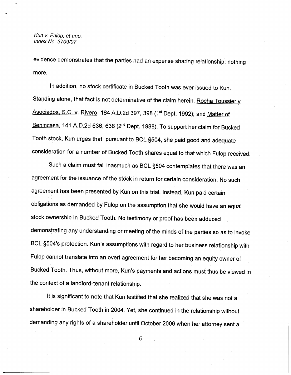evidence demonstrates that the parties had an expense sharing relationship; nothing more.

In addition, no stock certificate in Bucked Tooth was ever issued to Kun. Standing alone, that fact is not determinative of the claim herein. Rocha Toussier y Asociados, S.C. v. Rivero, 184 A.D.2d 397, 398 (1<sup>st</sup> Dept. 1992); and Matter of Benincasa, 141 A.D.2d 636, 638 (2<sup>nd</sup> Dept. 1988). To support her claim for Bucked Tooth stock, Kun urges that, pursuant to BCL 9504, she paid good and adequate consideration for a number of Bucked Tooth shares equal to that which Fulop received.

Such a claim must fail inasmuch as BCL §504 contemplates that there was an agreement for the issuance of the stock in return for certain consideration. No such agreement has been presented by Kun on this trial. Instead, Kun paid certain obligations as demanded by Fulop on the assumption that she would have an equal stock ownership in Bucked Tooth. No testimony or proof has been adduced demonstrating any understanding or meeting of the minds of the parties so as to invoke BCL §504's protection. Kun's assumptions with regard to her business relationship with Fulop cannot translate into an overt agreement for her becoming an equity owner of Bucked Tooth. Thus, without more, Kun's payments and actions must thus be viewed in the context of a landlord-tenant relationship.

It is significant to note that Kun testified that she realized that she was not a shareholder in Bucked Tooth in 2004. Yet, she continued in the relationship without demanding any rights of a shareholder until October 2006 when her attorney sent a

6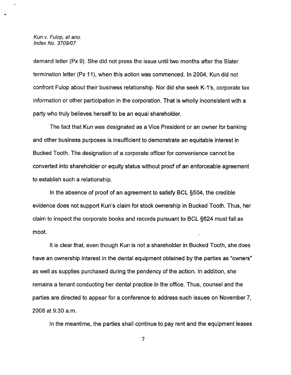demand letter (Px 9). She did not press the issue until two months after the Slater termination letter (Px 11), when this action was commenced. In 2004, Kun did not confront Fulop about their business relationship. Nor did she seek K-1's, corporate tax information or other participation in the corporation. That is wholly inconsistent with a party who truly believes herself to be an equal shareholder.

The fact that Kun was designated as a Vice President or an owner for banking and other business purposes is insufficient to demonstrate an equitable interest in Bucked Tooth. The designation of a corporate officer for convenience cannot be converted into shareholder or equity status without proof of an enforceable agreement to establish such a relationship.

In the absence of proof of an agreement to satisfy BCL §504, the credible evidence does not support Kun's claim for stock ownership in Bucked Tooth. Thus, her claim to inspect the corporate books and records pursuant to BCL 9624 must fail as moot.

It is clear that, even though Kun is not a shareholder in Bucked Tooth, she does have an ownership interest in the dental equipment obtained by the parties as "owners" as well as supplies purchased during the pendency of the action. In addition, she remains a tenant conducting her dental practice in the office. Thus, counsel and the parties are directed to appear for a conference to address such issues on November 7 2008 at 9:30 a.

In the meantime, the parties shall continue to pay rent and the equipment leases

 $\overline{7}$